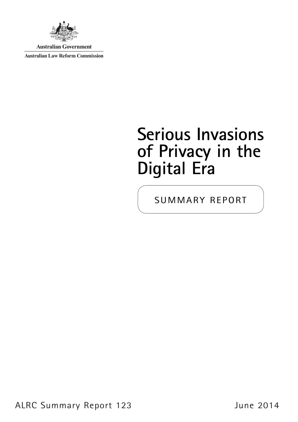

**Australian Government** 

**Australian Law Reform Commission** 

# **Serious Invasions of Privacy in the Digital Era**

summary report

ALRC Summary Report 123 June 2014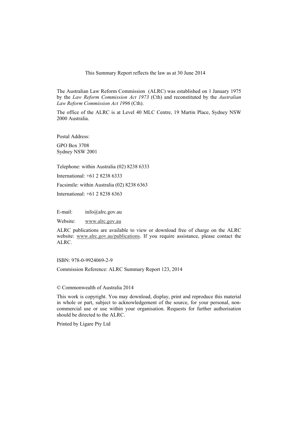This Summary Report reflects the law as at 30 June 2014

The Australian Law Reform Commission (ALRC) was established on 1 January 1975 by the *Law Reform Commission Act 1973* (Cth) and reconstituted by the *Australian Law Reform Commission Act 1996* (Cth).

The office of the ALRC is at Level 40 MLC Centre, 19 Martin Place, Sydney NSW 2000 Australia.

Postal Address:

GPO Box 3708 Sydney NSW 2001

Telephone: within Australia (02) 8238 6333

International: +61 2 8238 6333

Facsimile: within Australia (02) 8238 6363

International: +61 2 8238 6363

E-mail: info@alrc.gov.au

Website: www.alrc.gov.au

ALRC publications are available to view or download free of charge on the ALRC website: www.alrc.gov.au/publications. If you require assistance, please contact the ALRC.

ISBN: 978-0-9924069-2-9

Commission Reference: ALRC Summary Report 123, 2014

© Commonwealth of Australia 2014

This work is copyright. You may download, display, print and reproduce this material in whole or part, subject to acknowledgement of the source, for your personal, noncommercial use or use within your organisation. Requests for further authorisation should be directed to the ALRC.

Printed by Ligare Pty Ltd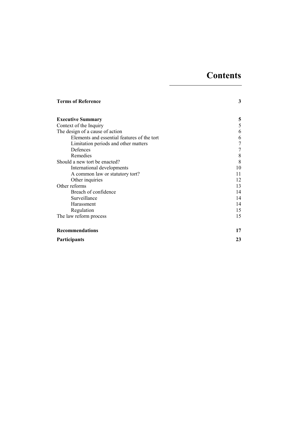# **Contents**

| <b>Terms of Reference</b>                   | 3  |
|---------------------------------------------|----|
|                                             |    |
| <b>Executive Summary</b>                    | 5  |
| Context of the Inquiry                      | 5  |
| The design of a cause of action             | 6  |
| Elements and essential features of the tort | 6  |
| Limitation periods and other matters        |    |
| Defences                                    |    |
| Remedies                                    | 8  |
| Should a new tort be enacted?               | 8  |
| International developments                  | 10 |
| A common law or statutory tort?             | 11 |
| Other inquiries                             | 12 |
| Other reforms                               | 13 |
| Breach of confidence                        | 14 |
| Surveillance                                | 14 |
| Harassment                                  | 14 |
| Regulation                                  | 15 |
| The law reform process                      | 15 |
| <b>Recommendations</b>                      | 17 |
| Participants                                | 23 |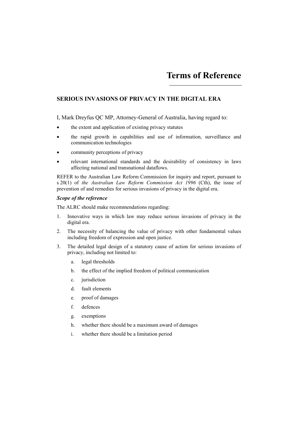# **Terms of Reference**

# **SERIOUS INVASIONS OF PRIVACY IN THE DIGITAL ERA**

I, Mark Dreyfus QC MP, Attorney-General of Australia, having regard to:

- the extent and application of existing privacy statutes
- the rapid growth in capabilities and use of information, surveillance and communication technologies
- community perceptions of privacy
- relevant international standards and the desirability of consistency in laws affecting national and transnational dataflows.

REFER to the Australian Law Reform Commission for inquiry and report, pursuant to s 20(1) of *the Australian Law Reform Commission Act 1996* (Cth), the issue of prevention of and remedies for serious invasions of privacy in the digital era.

#### *Scope of the reference*

The ALRC should make recommendations regarding:

- 1. Innovative ways in which law may reduce serious invasions of privacy in the digital era.
- 2. The necessity of balancing the value of privacy with other fundamental values including freedom of expression and open justice.
- 3. The detailed legal design of a statutory cause of action for serious invasions of privacy, including not limited to:
	- a. legal thresholds
	- b. the effect of the implied freedom of political communication
	- c. jurisdiction
	- d. fault elements
	- e. proof of damages
	- f. defences
	- g. exemptions
	- h. whether there should be a maximum award of damages
	- i. whether there should be a limitation period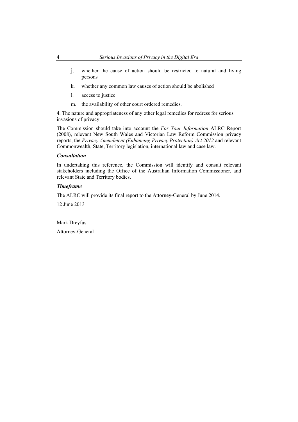- j. whether the cause of action should be restricted to natural and living persons
- k. whether any common law causes of action should be abolished
- l. access to justice
- m. the availability of other court ordered remedies.

4. The nature and appropriateness of any other legal remedies for redress for serious invasions of privacy.

The Commission should take into account the *For Your Information* ALRC Report (2008), relevant New South Wales and Victorian Law Reform Commission privacy reports, the *Privacy Amendment (Enhancing Privacy Protection) Act 2012* and relevant Commonwealth, State, Territory legislation, international law and case law.

#### *Consultation*

In undertaking this reference, the Commission will identify and consult relevant stakeholders including the Office of the Australian Information Commissioner, and relevant State and Territory bodies.

## *Timeframe*

The ALRC will provide its final report to the Attorney-General by June 2014.

12 June 2013

Mark Dreyfus

Attorney-General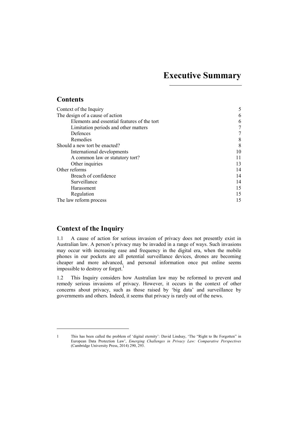# **Executive Summary**

# **Contents**

| Context of the Inquiry                      | 5  |
|---------------------------------------------|----|
| The design of a cause of action             | 6  |
| Elements and essential features of the tort | 6  |
| Limitation periods and other matters        |    |
| Defences                                    |    |
| Remedies                                    | 8  |
| Should a new tort be enacted?               | 8  |
| International developments                  | 10 |
| A common law or statutory tort?             | 11 |
| Other inquiries                             | 13 |
| Other reforms                               | 14 |
| Breach of confidence                        | 14 |
| Surveillance                                | 14 |
| Harassment                                  | 15 |
| Regulation                                  | 15 |
| The law reform process                      | 15 |

# **Context of the Inquiry**

 $\overline{a}$ 

1.1 A cause of action for serious invasion of privacy does not presently exist in Australian law. A person's privacy may be invaded in a range of ways. Such invasions may occur with increasing ease and frequency in the digital era, when the mobile phones in our pockets are all potential surveillance devices, drones are becoming cheaper and more advanced, and personal information once put online seems impossible to destroy or forget.<sup>1</sup>

1.2 This Inquiry considers how Australian law may be reformed to prevent and remedy serious invasions of privacy. However, it occurs in the context of other concerns about privacy, such as those raised by 'big data' and surveillance by governments and others. Indeed, it seems that privacy is rarely out of the news.

<sup>1</sup> This has been called the problem of 'digital eternity': David Lindsay, 'The "Right to Be Forgotten" in European Data Protection Law', *Emerging Challenges in Privacy Law: Comparative Perspectives* (Cambridge University Press, 2014) 290, 293.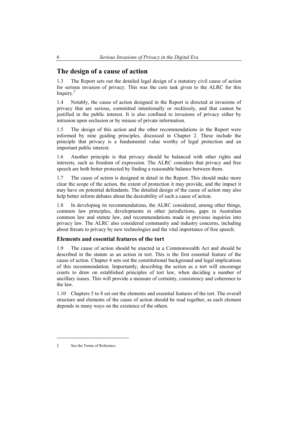# **The design of a cause of action**

1.3 The Report sets out the detailed legal design of a statutory civil cause of action for serious invasion of privacy. This was the core task given to the ALRC for this Inquiry.<sup>2</sup>

1.4 Notably, the cause of action designed in the Report is directed at invasions of privacy that are serious, committed intentionally or recklessly, and that cannot be justified in the public interest. It is also confined to invasions of privacy either by intrusion upon seclusion or by misuse of private information.

1.5 The design of this action and the other recommendations in the Report were informed by nine guiding principles, discussed in Chapter 2. These include the principle that privacy is a fundamental value worthy of legal protection and an important public interest.

1.6 Another principle is that privacy should be balanced with other rights and interests, such as freedom of expression. The ALRC considers that privacy and free speech are both better protected by finding a reasonable balance between them.

1.7 The cause of action is designed in detail in the Report. This should make more clear the scope of the action, the extent of protection it may provide, and the impact it may have on potential defendants. The detailed design of the cause of action may also help better inform debates about the desirability of such a cause of action.

1.8 In developing its recommendations, the ALRC considered, among other things, common law principles, developments in other jurisdictions, gaps in Australian common law and statute law, and recommendations made in previous inquiries into privacy law. The ALRC also considered community and industry concerns, including about threats to privacy by new technologies and the vital importance of free speech.

## **Elements and essential features of the tort**

1.9 The cause of action should be enacted in a Commonwealth Act and should be described in the statute as an action in tort. This is the first essential feature of the cause of action. Chapter 4 sets out the constitutional background and legal implications of this recommendation. Importantly, describing the action as a tort will encourage courts to draw on established principles of tort law, when deciding a number of ancillary issues. This will provide a measure of certainty, consistency and coherence to the law.

1.10 Chapters 5 to 8 set out the elements and essential features of the tort. The overall structure and elements of the cause of action should be read together, as each element depends in many ways on the existence of the others.

<sup>2</sup> See the Terms of Reference.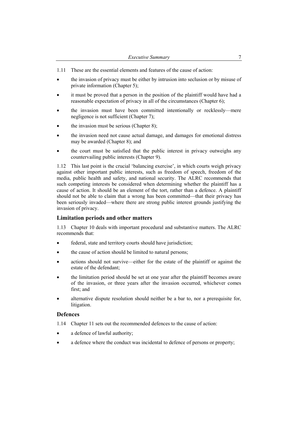- 1.11 These are the essential elements and features of the cause of action:
- the invasion of privacy must be either by intrusion into seclusion or by misuse of private information (Chapter 5);
- it must be proved that a person in the position of the plaintiff would have had a reasonable expectation of privacy in all of the circumstances (Chapter 6);
- the invasion must have been committed intentionally or recklessly—mere negligence is not sufficient (Chapter 7);
- the invasion must be serious (Chapter 8);
- the invasion need not cause actual damage, and damages for emotional distress may be awarded (Chapter 8); and
- the court must be satisfied that the public interest in privacy outweighs any countervailing public interests (Chapter 9).

1.12 This last point is the crucial 'balancing exercise', in which courts weigh privacy against other important public interests, such as freedom of speech, freedom of the media, public health and safety, and national security. The ALRC recommends that such competing interests be considered when determining whether the plaintiff has a cause of action. It should be an element of the tort, rather than a defence. A plaintiff should not be able to claim that a wrong has been committed—that their privacy has been seriously invaded—where there are strong public interest grounds justifying the invasion of privacy.

#### **Limitation periods and other matters**

1.13 Chapter 10 deals with important procedural and substantive matters. The ALRC recommends that:

- federal, state and territory courts should have jurisdiction;
- the cause of action should be limited to natural persons;
- actions should not survive—either for the estate of the plaintiff or against the estate of the defendant;
- the limitation period should be set at one year after the plaintiff becomes aware of the invasion, or three years after the invasion occurred, whichever comes first: and
- alternative dispute resolution should neither be a bar to, nor a prerequisite for, litigation.

#### **Defences**

- 1.14 Chapter 11 sets out the recommended defences to the cause of action:
- a defence of lawful authority;
- a defence where the conduct was incidental to defence of persons or property;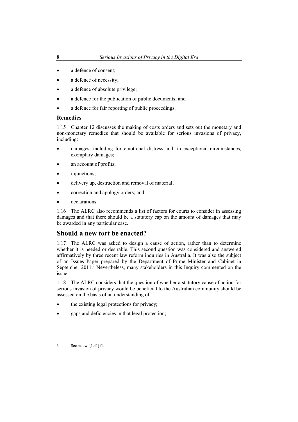- a defence of consent:
- a defence of necessity;
- a defence of absolute privilege;
- a defence for the publication of public documents; and
- a defence for fair reporting of public proceedings.

#### **Remedies**

1.15 Chapter 12 discusses the making of costs orders and sets out the monetary and non-monetary remedies that should be available for serious invasions of privacy, including:

- damages, including for emotional distress and, in exceptional circumstances, exemplary damages;
- an account of profits;
- injunctions;
- delivery up, destruction and removal of material;
- correction and apology orders; and
- declarations.

1.16 The ALRC also recommends a list of factors for courts to consider in assessing damages and that there should be a statutory cap on the amount of damages that may be awarded in any particular case.

# **Should a new tort be enacted?**

1.17 The ALRC was asked to design a cause of action, rather than to determine whether it is needed or desirable. This second question was considered and answered affirmatively by three recent law reform inquiries in Australia. It was also the subject of an Issues Paper prepared by the Department of Prime Minister and Cabinet in September 2011.<sup>3</sup> Nevertheless, many stakeholders in this Inquiry commented on the issue.

1.18 The ALRC considers that the question of whether a statutory cause of action for serious invasion of privacy would be beneficial to the Australian community should be assessed on the basis of an understanding of:

- the existing legal protections for privacy;
- gaps and deficiencies in that legal protection;

<sup>3</sup> See below, [1.41] ff.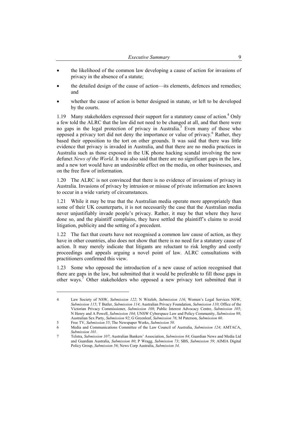- the likelihood of the common law developing a cause of action for invasions of privacy in the absence of a statute;
- the detailed design of the cause of action—its elements, defences and remedies; and
- whether the cause of action is better designed in statute, or left to be developed by the courts.

1.19 Many stakeholders expressed their support for a statutory cause of action.<sup>4</sup> Only a few told the ALRC that the law did not need to be changed at all, and that there were no gaps in the legal protection of privacy in Australia.<sup>5</sup> Even many of those who opposed a privacy tort did not deny the importance or value of privacy.<sup>6</sup> Rather, they based their opposition to the tort on other grounds. It was said that there was little evidence that privacy is invaded in Australia, and that there are no media practices in Australia such as those exposed in the UK phone hacking scandal involving the now defunct *News of the World*. It was also said that there are no significant gaps in the law, and a new tort would have an undesirable effect on the media, on other businesses, and on the free flow of information.

1.20 The ALRC is not convinced that there is no evidence of invasions of privacy in Australia. Invasions of privacy by intrusion or misuse of private information are known to occur in a wide variety of circumstances.

1.21 While it may be true that the Australian media operate more appropriately than some of their UK counterparts, it is not necessarily the case that the Australian media never unjustifiably invade people's privacy. Rather, it may be that where they have done so, and the plaintiff complains, they have settled the plaintiff's claims to avoid litigation, publicity and the setting of a precedent.

1.22 The fact that courts have not recognised a common law cause of action, as they have in other countries, also does not show that there is no need for a statutory cause of action. It may merely indicate that litigants are reluctant to risk lengthy and costly proceedings and appeals arguing a novel point of law. ALRC consultations with practitioners confirmed this view.

1.23 Some who opposed the introduction of a new cause of action recognised that there are gaps in the law, but submitted that it would be preferable to fill those gaps in other ways.<sup>7</sup> Other stakeholders who opposed a new privacy tort submitted that it

5 Free TV, *Submission 55*; The Newspaper Works, *Submission 50*.

<sup>4</sup> Law Society of NSW, *Submission 122*; N Witzleb, *Submission 116*; Women's Legal Services NSW, *Submission 115*; T Butler, *Submission 114*; Australian Privacy Foundation, *Submission 110*; Office of the Victorian Privacy Commissioner, *Submission 108*; Public Interest Advocacy Centre, *Submission 105*; N Henry and A Powell, *Submission 104*; UNSW Cyberspace Law and Policy Community, *Submission 98*; Australian Sex Party, *Submission 92*; G Greenleaf, *Submission 76*; M Paterson, *Submission 60*.

<sup>6</sup> Media and Communications Committee of the Law Council of Australia, *Submission 124*; AMTACA, *Submission 101*.

<sup>7</sup> Telstra, *Submission 107*; Australian Bankers' Association, *Submission 84*; Guardian News and Media Ltd and Guardian Australia, *Submission 80*; P Wragg, *Submission 73*; SBS, *Submission 59*; AIMIA Digital Policy Group, *Submission 56*; News Corp Australia, *Submission 34*.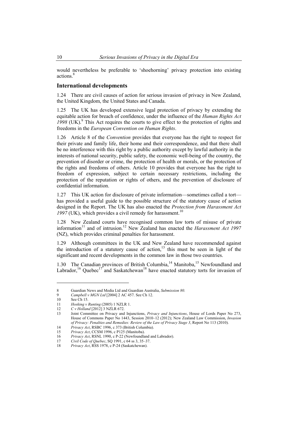would nevertheless be preferable to 'shoehorning' privacy protection into existing actions.<sup>8</sup>

#### **International developments**

1.24 There are civil causes of action for serious invasion of privacy in New Zealand, the United Kingdom, the United States and Canada.

1.25 The UK has developed extensive legal protection of privacy by extending the equitable action for breach of confidence, under the influence of the *Human Rights Act*  $1998$  (UK).<sup>9</sup> This Act requires the courts to give effect to the protection of rights and freedoms in the *European Convention on Human Rights*.

1.26 Article 8 of the *Convention* provides that everyone has the right to respect for their private and family life, their home and their correspondence, and that there shall be no interference with this right by a public authority except by lawful authority in the interests of national security, public safety, the economic well-being of the country, the prevention of disorder or crime, the protection of health or morals, or the protection of the rights and freedoms of others. Article 10 provides that everyone has the right to freedom of expression, subject to certain necessary restrictions, including the protection of the reputation or rights of others, and the prevention of disclosure of confidential information.

1.27 This UK action for disclosure of private information—sometimes called a tort has provided a useful guide to the possible structure of the statutory cause of action designed in the Report. The UK has also enacted the *Protection from Harassment Act*   $1997$  (UK), which provides a civil remedy for harassment.<sup>10</sup>

1.28 New Zealand courts have recognised common law torts of misuse of private information11 and of intrusion.12 New Zealand has enacted the *Harassment Act 1997*  (NZ), which provides criminal penalties for harassment.

1.29 Although committees in the UK and New Zealand have recommended against the introduction of a statutory cause of action, $13$  this must be seen in light of the significant and recent developments in the common law in those two countries.

1.30 The Canadian provinces of British Columbia,  $14$  Manitoba,  $15$  Newfoundland and Labrador, $^{16}$  Quebec<sup>17</sup> and Saskatchewan<sup>18</sup> have enacted statutory torts for invasion of

<sup>8</sup> Guardian News and Media Ltd and Guardian Australia, *Submission 80*.

<sup>9</sup> *Campbell v MGN Ltd* [2004] 2 AC 457. See Ch 12.

<sup>10</sup> See Ch 15.

<sup>11</sup> *Hosking v Runting* (2005) 1 NZLR 1.

<sup>12</sup> *C v Holland* [2012] 3 NZLR 672.

<sup>13</sup> Joint Committee on Privacy and Injunctions, *Privacy and Injunctions*, House of Lords Paper No 273, House of Commons Paper No 1443, Session 2010–12 (2012); New Zealand Law Commission, *Invasion of Privacy: Penalties and Remedies: Review of the Law of Privacy Stage 3*, Report No 113 (2010).

<sup>14</sup> *Privacy Act*, RSBC 1996, c 373 (British Columbia).

<sup>15</sup> *Privacy Act*, CCSM 1996, c P125 (Manitoba).

<sup>16</sup> *Privacy Act*, RSNL 1990, c P-22 (Newfoundland and Labrador).

<sup>17</sup> *Civil Code of Quebec*, SQ 1991, c 64 ss 3, 35–37.

<sup>18</sup> *Privacy Act*, RSS 1978, c P-24 (Saskatchewan).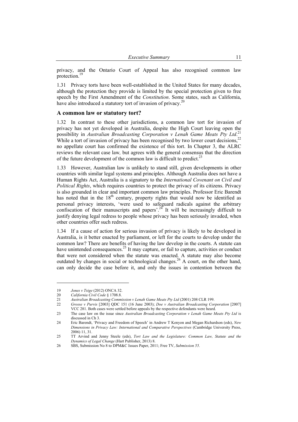privacy, and the Ontario Court of Appeal has also recognised common law protection.<sup>19</sup>

1.31 Privacy torts have been well-established in the United States for many decades, although the protection they provide is limited by the special protection given to free speech by the First Amendment of the *Constitution*. Some states, such as California, have also introduced a statutory tort of invasion of privacy.<sup>20</sup>

#### **A common law or statutory tort?**

1.32 In contrast to these other jurisdictions, a common law tort for invasion of privacy has not yet developed in Australia, despite the High Court leaving open the possibility in *Australian Broadcasting Corporation v Lenah Game Meats Pty Ltd*. 21 While a tort of invasion of privacy has been recognised by two lower court decisions.<sup>22</sup> no appellate court has confirmed the existence of this tort. In Chapter 3, the ALRC reviews the relevant case law*,* but agrees with the general consensus that the direction of the future development of the common law is difficult to predict.<sup>23</sup>

1.33 However, Australian law is unlikely to stand still, given developments in other countries with similar legal systems and principles. Although Australia does not have a Human Rights Act, Australia is a signatory to the *International Covenant on Civil and Political Rights*, which requires countries to protect the privacy of its citizens. Privacy is also grounded in clear and important common law principles. Professor Eric Barendt has noted that in the  $18<sup>th</sup>$  century, property rights that would now be identified as personal privacy interests, 'were used to safeguard radicals against the arbitrary confiscation of their manuscripts and papers'.24 It will be increasingly difficult to justify denying legal redress to people whose privacy has been seriously invaded, when other countries offer such redress.

1.34 If a cause of action for serious invasion of privacy is likely to be developed in Australia, is it better enacted by parliament, or left for the courts to develop under the common law? There are benefits of having the law develop in the courts. A statute can have unintended consequences. $^{25}$  It may capture, or fail to capture, activities or conduct that were not considered when the statute was enacted. A statute may also become outdated by changes in social or technological changes.<sup>26</sup> A court, on the other hand, can only decide the case before it, and only the issues in contention between the

<sup>19</sup> *Jones v Tsige* (2012) ONCA 32.

<sup>20</sup> *California Civil Code* § 1708.8.

<sup>21</sup> *Australian Broadcasting Commission v Lenah Game Meats Pty Ltd* (2001) 208 CLR 199.

<sup>22</sup> *Grosse v Purvis* [2003] QDC 151 (16 June 2003); *Doe v Australian Broadcasting Corporation* [2007]

VCC 281. Both cases were settled before appeals by the respective defendants were heard. 23 The case law on the issue since *Australian Broadcasting Corporation v Lenah Game Meats Pty Ltd* is

discussed in Ch 3.

<sup>24</sup> Eric Barendt, 'Privacy and Freedom of Speech' in Andrew T Kenyon and Megan Richardson (eds), *New Dimensions in Privacy Law: International and Comparative Perspectives* (Cambridge University Press, 2006) 11, 31.

<sup>25</sup> TT Arvind and Jenny Steele (eds), *Tort Law and the Legislature: Common Law, Statute and the Dynamics of Legal Change* (Hart Publisher, 2013) 8.

<sup>26</sup> SBS, Submission No 8 to DPM&C Issues Paper, 2011; Free TV, *Submission 55*.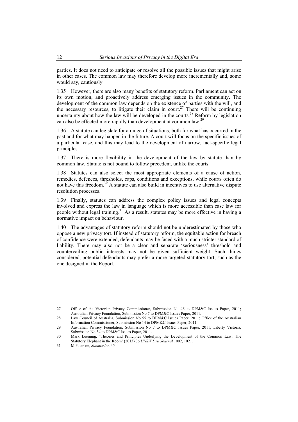parties. It does not need to anticipate or resolve all the possible issues that might arise in other cases. The common law may therefore develop more incrementally and, some would say, cautiously.

1.35 However, there are also many benefits of statutory reform. Parliament can act on its own motion, and proactively address emerging issues in the community. The development of the common law depends on the existence of parties with the will, and the necessary resources, to litigate their claim in court.<sup>27</sup> There will be continuing uncertainty about how the law will be developed in the courts.<sup>28</sup> Reform by legislation can also be effected more rapidly than development at common law.<sup>29</sup>

1.36 A statute can legislate for a range of situations, both for what has occurred in the past and for what may happen in the future. A court will focus on the specific issues of a particular case, and this may lead to the development of narrow, fact-specific legal principles.

1.37 There is more flexibility in the development of the law by statute than by common law. Statute is not bound to follow precedent, unlike the courts.

1.38 Statutes can also select the most appropriate elements of a cause of action, remedies, defences, thresholds, caps, conditions and exceptions, while courts often do not have this freedom.<sup>30</sup> A statute can also build in incentives to use alternative dispute resolution processes.

1.39 Finally, statutes can address the complex policy issues and legal concepts involved and express the law in language which is more accessible than case law for people without legal training.<sup>31</sup> As a result, statutes may be more effective in having a normative impact on behaviour.

1.40 The advantages of statutory reform should not be underestimated by those who oppose a new privacy tort. If instead of statutory reform, the equitable action for breach of confidence were extended, defendants may be faced with a much stricter standard of liability. There may also not be a clear and separate 'seriousness' threshold and countervailing public interests may not be given sufficient weight. Such things considered, potential defendants may prefer a more targeted statutory tort, such as the one designed in the Report.

<sup>27</sup> Office of the Victorian Privacy Commissioner, Submission No 46 to DPM&C Issues Paper, 2011; Australian Privacy Foundation, Submission No 7 to DPM&C Issues Paper, 2011.

<sup>28</sup> Law Council of Australia, Submission No 55 to DPM&C Issues Paper, 2011; Office of the Australian Information Commissioner, Submission No 14 to DPM&C Issues Paper, 2011.

<sup>29</sup> Australian Privacy Foundation, Submission No 7 to DPM&C Issues Paper, 2011; Liberty Victoria, Submission No 34 to DPM&C Issues Paper, 2011.

<sup>30</sup> Mark Leeming, 'Theories and Principles Underlying the Development of the Common Law: The Statutory Elephant in the Room' (2013) 36 *UNSW Law Journal* 1002, 1021.

<sup>31</sup> M Paterson, *Submission 60*.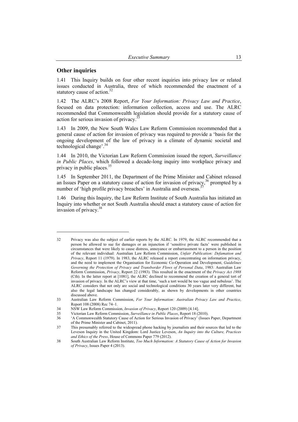#### **Other inquiries**

 $\overline{a}$ 

1.41 This Inquiry builds on four other recent inquiries into privacy law or related issues conducted in Australia, three of which recommended the enactment of a statutory cause of action.<sup>32</sup>

1.42 The ALRC's 2008 Report, *For Your Information: Privacy Law and Practice*, focused on data protection: information collection, access and use. The ALRC recommended that Commonwealth legislation should provide for a statutory cause of action for serious invasion of privacy.<sup>3</sup>

1.43 In 2009, the New South Wales Law Reform Commission recommended that a general cause of action for invasion of privacy was required to provide a 'basis for the ongoing development of the law of privacy in a climate of dynamic societal and technological change'.<sup>34</sup>

1.44 In 2010, the Victorian Law Reform Commission issued the report, *Surveillance in Public Places*, which followed a decade-long inquiry into workplace privacy and privacy in public places.<sup>35</sup>

1.45 In September 2011, the Department of the Prime Minister and Cabinet released an Issues Paper on a statutory cause of action for invasion of privacy,  $36$  prompted by a number of 'high profile privacy breaches' in Australia and overseas.<sup>3</sup>

1.46 During this Inquiry, the Law Reform Institute of South Australia has initiated an Inquiry into whether or not South Australia should enact a statutory cause of action for invasion of privacy.38

<sup>32</sup> Privacy was also the subject of earlier reports by the ALRC. In 1979, the ALRC recommended that a person be allowed to sue for damages or an injunction if 'sensitive private facts' were published in circumstances that were likely to cause distress, annoyance or embarrassment to a person in the position of the relevant individual: Australian Law Reform Commission, *Unfair Publication: Defamation and Privacy*, Report 11 (1979). In 1983, the ALRC released a report concentrating on information privacy, and the need to implement the Organisation for Economic Co-Operation and Development, *Guidelines Governing the Protection of Privacy and Transborder Flows of Personal Data*, 1983: Australian Law Reform Commission, *Privacy*, Report 22 (1983). This resulted in the enactment of the *Privacy Act 1988* (Cth). In the latter report at [1081], the ALRC declined to recommend the creation of a general tort of invasion of privacy. In the ALRC's view at that time, 'such a tort would be too vague and nebulous'. The ALRC considers that not only are social and technological conditions 30 years later very different, but also the legal landscape has changed considerably, as shown by developments in other countries discussed above.

<sup>33</sup> Australian Law Reform Commission, *For Your Information: Australian Privacy Law and Practice*, Report 108 (2008) Rec 74–1.

<sup>34</sup> NSW Law Reform Commission, *Invasion of Privacy*, Report 120 (2009) [4.14].

<sup>35</sup> Victorian Law Reform Commission, *Surveillance in Public Places*, Report 18 (2010).

<sup>36 &#</sup>x27;A Commonwealth Statutory Cause of Action for Serious Invasion of Privacy' (Issues Paper, Department of the Prime Minister and Cabinet, 2011).

<sup>37</sup> This presumably referred to the widespread phone hacking by journalists and their sources that led to the Leveson Inquiry in the United Kingdom: Lord Justice Leveson, *An Inquiry into the Culture, Practices and Ethics of the Press*, House of Commons Paper 779 (2012).

<sup>38</sup> South Australian Law Reform Institute, *Too Much Information: A Statutory Cause of Action for Invasion of Privacy*, Issues Paper 4 (2013).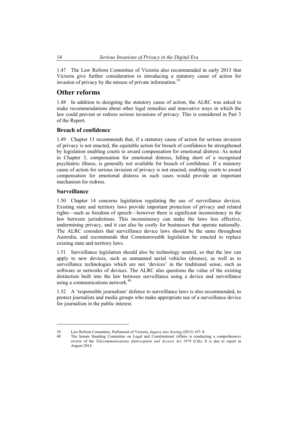1.47 The Law Reform Committee of Victoria also recommended in early 2013 that Victoria give further consideration to introducing a statutory cause of action for invasion of privacy by the misuse of private information.<sup>39</sup>

# **Other reforms**

1.48 In addition to designing the statutory cause of action, the ALRC was asked to make recommendations about other legal remedies and innovative ways in which the law could prevent or redress serious invasions of privacy. This is considered in Part 3 of the Report.

#### **Breach of confidence**

1.49 Chapter 13 recommends that, if a statutory cause of action for serious invasion of privacy is not enacted, the equitable action for breach of confidence be strengthened by legislation enabling courts to award compensation for emotional distress. As noted in Chapter 3, compensation for emotional distress, falling short of a recognised psychiatric illness, is generally not available for breach of confidence. If a statutory cause of action for serious invasion of privacy is not enacted, enabling courts to award compensation for emotional distress in such cases would provide an important mechanism for redress.

#### **Surveillance**

 $\overline{a}$ 

1.50 Chapter 14 concerns legislation regulating the use of surveillance devices. Existing state and territory laws provide important protection of privacy and related rights—such as freedom of speech—however there is significant inconsistency in the law between jurisdictions. This inconsistency can make the laws less effective, undermining privacy, and it can also be costly for businesses that operate nationally. The ALRC considers that surveillance device laws should be the same throughout Australia, and recommends that Commonwealth legislation be enacted to replace existing state and territory laws.

1.51 Surveillance legislation should also be technology neutral, so that the law can apply to new devices, such as unmanned aerial vehicles (drones), as well as to surveillance technologies which are not 'devices' in the traditional sense, such as software or networks of devices. The ALRC also questions the value of the existing distinction built into the law between surveillance using a device and surveillance using a communications network.<sup>40</sup>

1.52 A 'responsible journalism' defence to surveillance laws is also recommended, to protect journalists and media groups who make appropriate use of a surveillance device for journalism in the public interest.

<sup>39</sup> Law Reform Committee, Parliament of Victoria, *Inquiry into Sexting* (2013) 187–8.

The Senate Standing Committee on Legal and Constitutional Affairs is conducting a comprehensive review of the *Telecommunications (Interception and Access) Act 1979* (Cth). It is due to report in August 2014.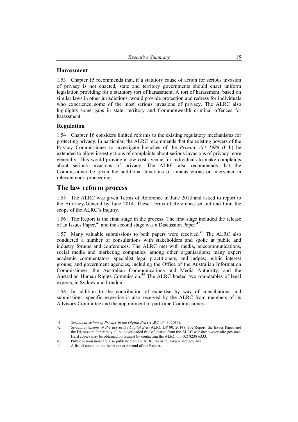#### **Harassment**

1.53 Chapter 15 recommends that, if a statutory cause of action for serious invasion of privacy is not enacted, state and territory governments should enact uniform legislation providing for a statutory tort of harassment. A tort of harassment, based on similar laws in other jurisdictions, would provide protection and redress for individuals who experience some of the most serious invasions of privacy. The ALRC also highlights some gaps in state, territory and Commonwealth criminal offences for harassment.

## **Regulation**

 $\overline{a}$ 

1.54 Chapter 16 considers limited reforms to the existing regulatory mechanisms for protecting privacy. In particular, the ALRC recommends that the existing powers of the Privacy Commissioner to investigate breaches of the *Privacy Act 1988* (Cth) be extended to allow investigations of complaints about serious invasions of privacy more generally. This would provide a low-cost avenue for individuals to make complaints about serious invasions of privacy. The ALRC also recommends that the Commissioner be given the additional functions of amicus curiae or intervener in relevant court proceedings.

# **The law reform process**

1.55 The ALRC was given Terms of Reference in June 2013 and asked to report to the Attorney-General by June 2014. These Terms of Reference set out and limit the scope of the ALRC's Inquiry.

1.56 The Report is the final stage in the process. The first stage included the release of an Issues Paper,  $41$  and the second stage was a Discussion Paper.  $42$ 

1.57 Many valuable submissions to both papers were received.<sup>43</sup> The ALRC also conducted a number of consultations with stakeholders and spoke at public and industry forums and conferences. The ALRC met with media, telecommunications, social media and marketing companies, among other organisations; many expert academic commentators, specialist legal practitioners, and judges; public interest groups; and government agencies, including the Office of the Australian Information Commissioner, the Australian Communications and Media Authority, and the Australian Human Rights Commission.44 The ALRC hosted two roundtables of legal experts, in Sydney and London.

1.58 In addition to the contribution of expertise by way of consultations and submissions, specific expertise is also received by the ALRC from members of its Advisory Committee and the appointment of part-time Commissioners.

<sup>41</sup> *Serious Invasions of Privacy in the Digital Era* (ALRC IP 43, 2013).

<sup>42</sup> *Serious Invasions of Privacy in the Digital Era* (ALRC DP 80, 2014). The Report, the Issues Paper and the Discussion Paper may all be downloaded free of charge from the ALRC website: <www.alrc.gov.au>. Hard copies may be obtained on request by contacting the ALRC on (02) 8238 6333.

<sup>43</sup> Public submissions are also published on the ALRC website: <www.alrc.gov.au>.

<sup>44</sup> A list of consultations is set out at the end of the Report.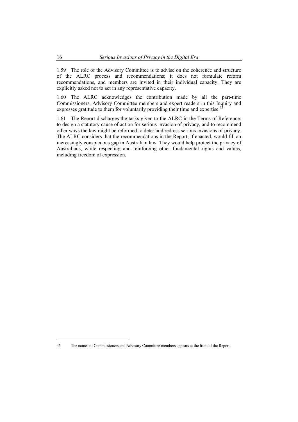1.59 The role of the Advisory Committee is to advise on the coherence and structure of the ALRC process and recommendations; it does not formulate reform recommendations, and members are invited in their individual capacity. They are explicitly asked not to act in any representative capacity.

1.60 The ALRC acknowledges the contribution made by all the part-time Commissioners, Advisory Committee members and expert readers in this Inquiry and expresses gratitude to them for voluntarily providing their time and expertise.<sup>4</sup>

1.61 The Report discharges the tasks given to the ALRC in the Terms of Reference: to design a statutory cause of action for serious invasion of privacy, and to recommend other ways the law might be reformed to deter and redress serious invasions of privacy. The ALRC considers that the recommendations in the Report, if enacted, would fill an increasingly conspicuous gap in Australian law. They would help protect the privacy of Australians, while respecting and reinforcing other fundamental rights and values, including freedom of expression.

<sup>45</sup> The names of Commissioners and Advisory Committee members appears at the front of the Report.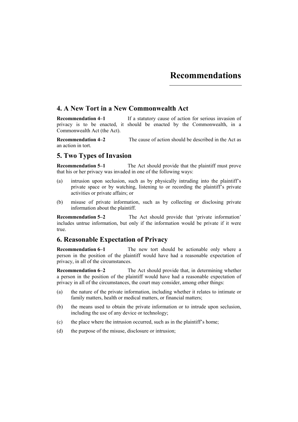# **4. A New Tort in a New Commonwealth Act**

**Recommendation 4–1** If a statutory cause of action for serious invasion of privacy is to be enacted, it should be enacted by the Commonwealth, in a Commonwealth Act (the Act).

**Recommendation 4–2** The cause of action should be described in the Act as an action in tort.

# **5. Two Types of Invasion**

**Recommendation 5–1** The Act should provide that the plaintiff must prove that his or her privacy was invaded in one of the following ways:

- (a) intrusion upon seclusion, such as by physically intruding into the plaintiff's private space or by watching, listening to or recording the plaintiff's private activities or private affairs; or
- (b) misuse of private information, such as by collecting or disclosing private information about the plaintiff.

**Recommendation 5–2** The Act should provide that 'private information' includes untrue information, but only if the information would be private if it were true.

# **6. Reasonable Expectation of Privacy**

**Recommendation 6–1** The new tort should be actionable only where a person in the position of the plaintiff would have had a reasonable expectation of privacy, in all of the circumstances.

**Recommendation 6–2** The Act should provide that, in determining whether a person in the position of the plaintiff would have had a reasonable expectation of privacy in all of the circumstances, the court may consider, among other things:

- (a) the nature of the private information, including whether it relates to intimate or family matters, health or medical matters, or financial matters;
- (b) the means used to obtain the private information or to intrude upon seclusion, including the use of any device or technology;
- (c) the place where the intrusion occurred, such as in the plaintiff's home;
- (d) the purpose of the misuse, disclosure or intrusion;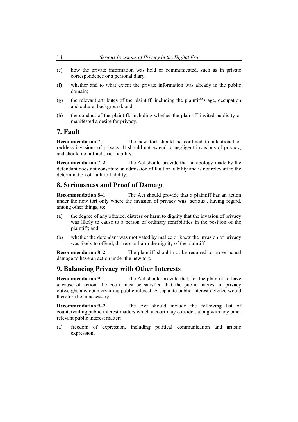- (e) how the private information was held or communicated, such as in private correspondence or a personal diary;
- (f) whether and to what extent the private information was already in the public domain;
- (g) the relevant attributes of the plaintiff, including the plaintiff's age, occupation and cultural background; and
- (h) the conduct of the plaintiff, including whether the plaintiff invited publicity or manifested a desire for privacy.

# **7. Fault**

**Recommendation 7–1** The new tort should be confined to intentional or reckless invasions of privacy. It should not extend to negligent invasions of privacy, and should not attract strict liability.

**Recommendation 7–2** The Act should provide that an apology made by the defendant does not constitute an admission of fault or liability and is not relevant to the determination of fault or liability.

# **8. Seriousness and Proof of Damage**

**Recommendation 8–1** The Act should provide that a plaintiff has an action under the new tort only where the invasion of privacy was 'serious', having regard, among other things, to:

- (a) the degree of any offence, distress or harm to dignity that the invasion of privacy was likely to cause to a person of ordinary sensibilities in the position of the plaintiff; and
- (b) whether the defendant was motivated by malice or knew the invasion of privacy was likely to offend, distress or harm the dignity of the plaintiff

**Recommendation 8–2** The plaintiff should not be required to prove actual damage to have an action under the new tort.

# **9. Balancing Privacy with Other Interests**

**Recommendation 9–1** The Act should provide that, for the plaintiff to have a cause of action, the court must be satisfied that the public interest in privacy outweighs any countervailing public interest. A separate public interest defence would therefore be unnecessary.

**Recommendation 9–2** The Act should include the following list of countervailing public interest matters which a court may consider, along with any other relevant public interest matter:

(a) freedom of expression, including political communication and artistic expression;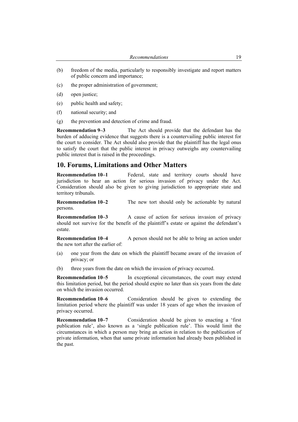- (b) freedom of the media, particularly to responsibly investigate and report matters of public concern and importance;
- (c) the proper administration of government;
- (d) open justice;
- (e) public health and safety;
- (f) national security; and
- (g) the prevention and detection of crime and fraud.

**Recommendation 9–3** The Act should provide that the defendant has the burden of adducing evidence that suggests there is a countervailing public interest for the court to consider. The Act should also provide that the plaintiff has the legal onus to satisfy the court that the public interest in privacy outweighs any countervailing public interest that is raised in the proceedings.

# **10. Forums, Limitations and Other Matters**

**Recommendation 10–1** Federal, state and territory courts should have jurisdiction to hear an action for serious invasion of privacy under the Act. Consideration should also be given to giving jurisdiction to appropriate state and territory tribunals.

**Recommendation 10–2** The new tort should only be actionable by natural persons.

**Recommendation 10–3** A cause of action for serious invasion of privacy should not survive for the benefit of the plaintiff's estate or against the defendant's estate.

**Recommendation 10–4** A person should not be able to bring an action under the new tort after the earlier of:

- (a) one year from the date on which the plaintiff became aware of the invasion of privacy; or
- (b) three years from the date on which the invasion of privacy occurred.

**Recommendation 10–5** In exceptional circumstances, the court may extend this limitation period, but the period should expire no later than six years from the date on which the invasion occurred.

**Recommendation 10–6** Consideration should be given to extending the limitation period where the plaintiff was under 18 years of age when the invasion of privacy occurred.

**Recommendation 10–7** Consideration should be given to enacting a 'first publication rule', also known as a 'single publication rule'. This would limit the circumstances in which a person may bring an action in relation to the publication of private information, when that same private information had already been published in the past.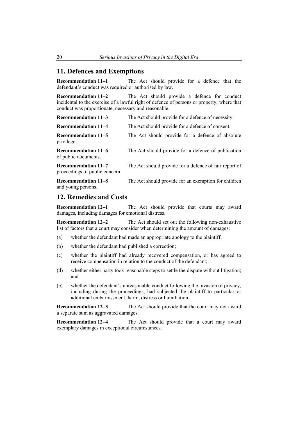# **11. Defences and Exemptions**

**Recommendation 11–1** The Act should provide for a defence that the defendant's conduct was required or authorised by law.

**Recommendation 11–2** The Act should provide a defence for conduct incidental to the exercise of a lawful right of defence of persons or property, where that conduct was proportionate, necessary and reasonable.

| Recommendation 11-3                                   | The Act should provide for a defence of necessity.     |
|-------------------------------------------------------|--------------------------------------------------------|
| <b>Recommendation 11–4</b>                            | The Act should provide for a defence of consent.       |
| Recommendation 11–5<br>privilege.                     | The Act should provide for a defence of absolute       |
| <b>Recommendation 11-6</b><br>of public documents.    | The Act should provide for a defence of publication    |
| Recommendation 11-7<br>proceedings of public concern. | The Act should provide for a defence of fair report of |
| Recommendation 11-8<br>and young persons.             | The Act should provide for an exemption for children   |

# **12. Remedies and Costs**

**Recommendation 12–1** The Act should provide that courts may award damages, including damages for emotional distress.

**Recommendation 12–2** The Act should set out the following non-exhaustive list of factors that a court may consider when determining the amount of damages:

- (a) whether the defendant had made an appropriate apology to the plaintiff;
- (b) whether the defendant had published a correction;
- (c) whether the plaintiff had already recovered compensation, or has agreed to receive compensation in relation to the conduct of the defendant;
- (d) whether either party took reasonable steps to settle the dispute without litigation; and
- (e) whether the defendant's unreasonable conduct following the invasion of privacy, including during the proceedings, had subjected the plaintiff to particular or additional embarrassment, harm, distress or humiliation.

**Recommendation 12–3** The Act should provide that the court may not award a separate sum as aggravated damages.

**Recommendation 12–4** The Act should provide that a court may award exemplary damages in exceptional circumstances.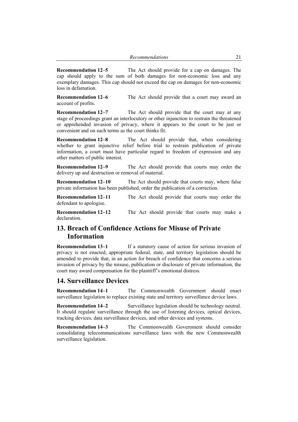| Recommendations |  |
|-----------------|--|
|-----------------|--|

**Recommendation 12–5** The Act should provide for a cap on damages. The cap should apply to the sum of both damages for non-economic loss and any exemplary damages. This cap should not exceed the cap on damages for non-economic loss in defamation.

**Recommendation 12–6** The Act should provide that a court may award an account of profits.

**Recommendation 12–7** The Act should provide that the court may at any stage of proceedings grant an interlocutory or other injunction to restrain the threatened or apprehended invasion of privacy, where it appears to the court to be just or convenient and on such terms as the court thinks fit.

**Recommendation 12–8** The Act should provide that, when considering whether to grant injunctive relief before trial to restrain publication of private information, a court must have particular regard to freedom of expression and any other matters of public interest.

**Recommendation 12–9** The Act should provide that courts may order the delivery up and destruction or removal of material.

**Recommendation 12–10** The Act should provide that courts may, where false private information has been published, order the publication of a correction.

**Recommendation 12–11** The Act should provide that courts may order the defendant to apologise.

**Recommendation 12–12** The Act should provide that courts may make a declaration.

# **13. Breach of Confidence Actions for Misuse of Private Information**

**Recommendation 13–1** If a statutory cause of action for serious invasion of privacy is not enacted, appropriate federal, state, and territory legislation should be amended to provide that, in an action for breach of confidence that concerns a serious invasion of privacy by the misuse, publication or disclosure of private information, the court may award compensation for the plaintiff's emotional distress.

## **14. Surveillance Devices**

**Recommendation 14–1** The Commonwealth Government should enact surveillance legislation to replace existing state and territory surveillance device laws.

**Recommendation 14–2** Surveillance legislation should be technology neutral. It should regulate surveillance through the use of listening devices, optical devices, tracking devices, data surveillance devices, and other devices and systems.

**Recommendation 14–3** The Commonwealth Government should consider consolidating telecommunications surveillance laws with the new Commonwealth surveillance legislation.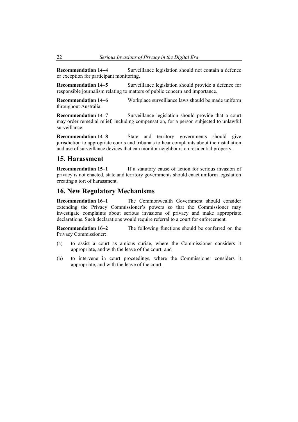**Recommendation 14–4** Surveillance legislation should not contain a defence or exception for participant monitoring.

**Recommendation 14–5** Surveillance legislation should provide a defence for responsible journalism relating to matters of public concern and importance.

**Recommendation 14–6** Workplace surveillance laws should be made uniform throughout Australia.

**Recommendation 14–7** Surveillance legislation should provide that a court may order remedial relief, including compensation, for a person subjected to unlawful surveillance.

**Recommendation 14–8** State and territory governments should give jurisdiction to appropriate courts and tribunals to hear complaints about the installation and use of surveillance devices that can monitor neighbours on residential property.

# **15. Harassment**

**Recommendation 15–1** If a statutory cause of action for serious invasion of privacy is not enacted, state and territory governments should enact uniform legislation creating a tort of harassment.

# **16. New Regulatory Mechanisms**

**Recommendation 16–1** The Commonwealth Government should consider extending the Privacy Commissioner's powers so that the Commissioner may investigate complaints about serious invasions of privacy and make appropriate declarations. Such declarations would require referral to a court for enforcement.

**Recommendation 16–2** The following functions should be conferred on the Privacy Commissioner:

- (a) to assist a court as amicus curiae, where the Commissioner considers it appropriate, and with the leave of the court; and
- (b) to intervene in court proceedings, where the Commissioner considers it appropriate, and with the leave of the court.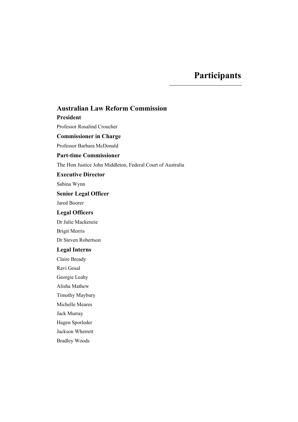# **Participants**

# **Australian Law Reform Commission**

#### **President**

Professor Rosalind Croucher

# **Commissioner in Charge**

Professor Barbara McDonald

# **Part-time Commissioner**

The Hon Justice John Middleton, Federal Court of Australia

#### **Executive Director**

Sabina Wynn

# **Senior Legal Officer**

Jared Boorer

## **Legal Officers**

Dr Julie Mackenzie

Brigit Morris

Dr Steven Robertson

# **Legal Interns**

Claire Bready

Ravi Gosal

Georgie Leahy

Alisha Mathew

Timothy Maybury

Michelle Meares

Jack Murray

Hagen Sporleder

Jackson Wherrett

Bradley Woods